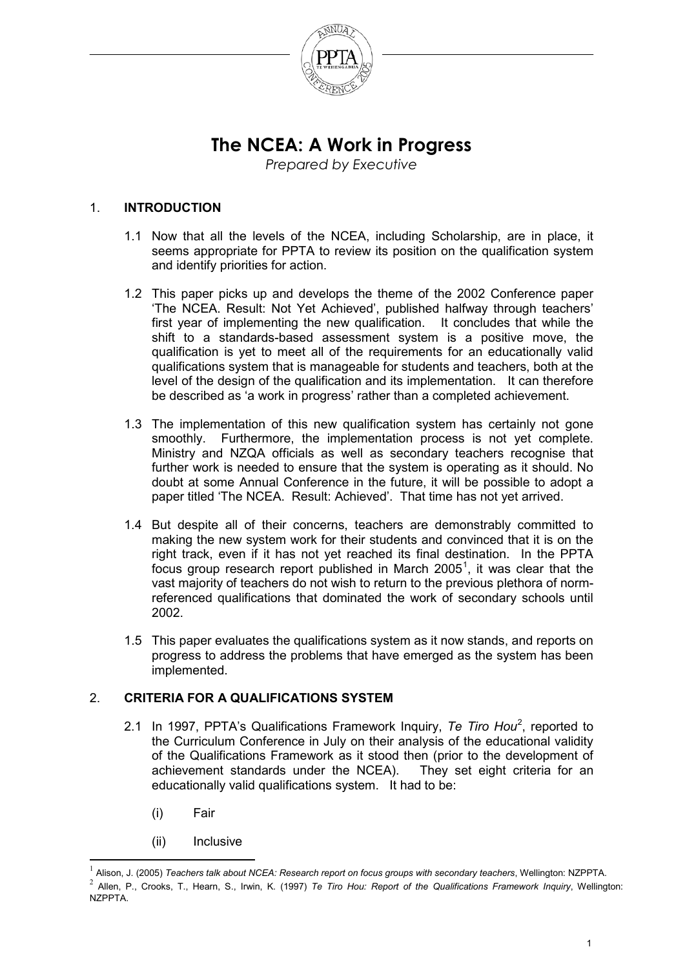

# **The NCEA: A Work in Progress**

*Prepared by Executive*

## 1. **INTRODUCTION**

- 1.1 Now that all the levels of the NCEA, including Scholarship, are in place, it seems appropriate for PPTA to review its position on the qualification system and identify priorities for action.
- 1.2 This paper picks up and develops the theme of the 2002 Conference paper 'The NCEA. Result: Not Yet Achieved', published halfway through teachers' first year of implementing the new qualification. It concludes that while the shift to a standards-based assessment system is a positive move, the qualification is yet to meet all of the requirements for an educationally valid qualifications system that is manageable for students and teachers, both at the level of the design of the qualification and its implementation. It can therefore be described as 'a work in progress' rather than a completed achievement.
- 1.3 The implementation of this new qualification system has certainly not gone smoothly. Furthermore, the implementation process is not yet complete. Ministry and NZQA officials as well as secondary teachers recognise that further work is needed to ensure that the system is operating as it should. No doubt at some Annual Conference in the future, it will be possible to adopt a paper titled 'The NCEA. Result: Achieved'. That time has not yet arrived.
- 1.4 But despite all of their concerns, teachers are demonstrably committed to making the new system work for their students and convinced that it is on the right track, even if it has not yet reached its final destination. In the PPTA focus group research report published in March 2005<sup>[1](#page-0-0)</sup>, it was clear that the vast majority of teachers do not wish to return to the previous plethora of normreferenced qualifications that dominated the work of secondary schools until 2002.
- 1.5 This paper evaluates the qualifications system as it now stands, and reports on progress to address the problems that have emerged as the system has been implemented.

# 2. **CRITERIA FOR A QUALIFICATIONS SYSTEM**

- [2](#page-0-1).1 In 1997, PPTA's Qualifications Framework Inquiry, Te Tiro Hou<sup>2</sup>, reported to the Curriculum Conference in July on their analysis of the educational validity of the Qualifications Framework as it stood then (prior to the development of achievement standards under the NCEA). They set eight criteria for an achievement standards under the NCEA). educationally valid qualifications system. It had to be:
	- (i) Fair

-

(ii) Inclusive

<span id="page-0-1"></span><span id="page-0-0"></span><sup>1</sup> Alison, J. (2005) *Teachers talk about NCEA: Research report on focus groups with secondary teachers*, Wellington: NZPPTA. <sup>2</sup> Allen, P., Crooks, T., Hearn, S., Irwin, K. (1997) *Te Tiro Hou: Report of the Qualifications Framework Inquiry*, Wellington: NZPPTA.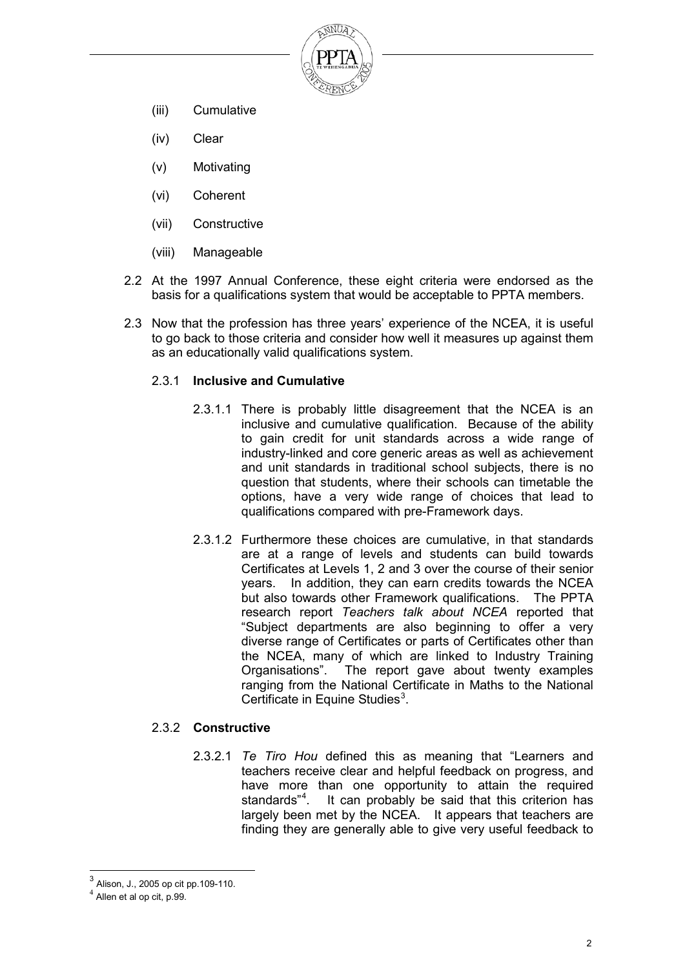

- (iii) Cumulative
- (iv) Clear
- (v) Motivating
- (vi) Coherent
- (vii) Constructive
- (viii) Manageable
- 2.2 At the 1997 Annual Conference, these eight criteria were endorsed as the basis for a qualifications system that would be acceptable to PPTA members.
- 2.3 Now that the profession has three years' experience of the NCEA, it is useful to go back to those criteria and consider how well it measures up against them as an educationally valid qualifications system.

#### 2.3.1 **Inclusive and Cumulative**

- 2.3.1.1 There is probably little disagreement that the NCEA is an inclusive and cumulative qualification. Because of the ability to gain credit for unit standards across a wide range of industry-linked and core generic areas as well as achievement and unit standards in traditional school subjects, there is no question that students, where their schools can timetable the options, have a very wide range of choices that lead to qualifications compared with pre-Framework days.
- 2.3.1.2 Furthermore these choices are cumulative, in that standards are at a range of levels and students can build towards Certificates at Levels 1, 2 and 3 over the course of their senior years. In addition, they can earn credits towards the NCEA but also towards other Framework qualifications. The PPTA research report *Teachers talk about NCEA* reported that "Subject departments are also beginning to offer a very diverse range of Certificates or parts of Certificates other than the NCEA, many of which are linked to Industry Training<br>Organisations". The report gave about twenty examples The report gave about twenty examples ranging from the National Certificate in Maths to the National Certificate in Equine Studies<sup>[3](#page-1-0)</sup>.

# 2.3.2 **Constructive**

2.3.2.1 *Te Tiro Hou* defined this as meaning that "Learners and teachers receive clear and helpful feedback on progress, and have more than one opportunity to attain the required standards<sup>"[4](#page-1-1)</sup>. It can probably be said that this criterion has largely been met by the NCEA. It appears that teachers are finding they are generally able to give very useful feedback to

 $\overline{a}$ 

<span id="page-1-1"></span><span id="page-1-0"></span> $^3$  Alison, J., 2005 op cit pp.109-110.<br> $^4$  Allen et al op cit, p.99.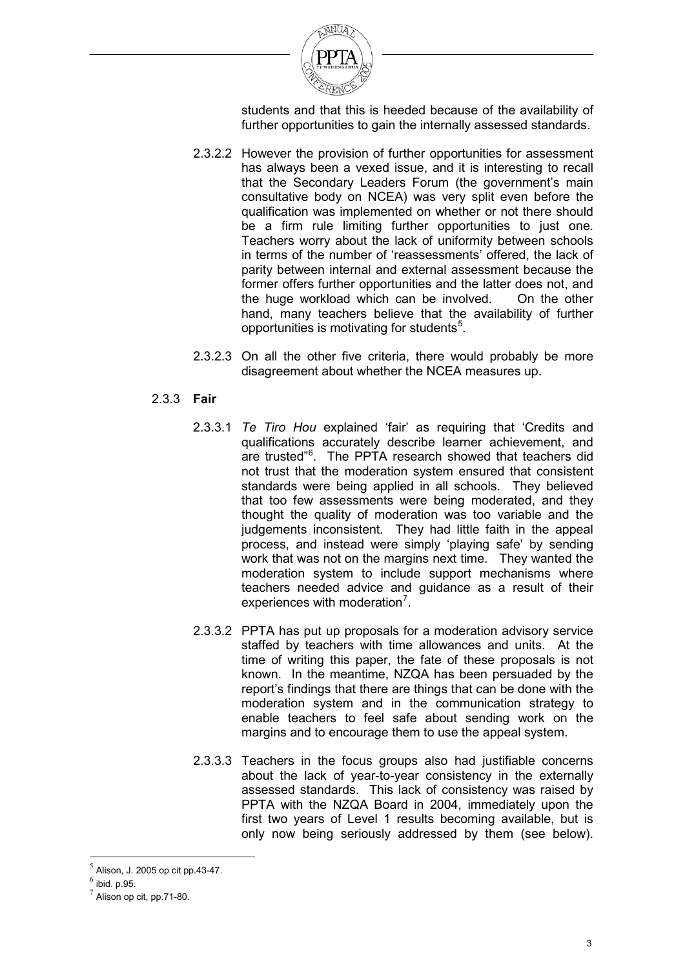

students and that this is heeded because of the availability of further opportunities to gain the internally assessed standards.

- 2.3.2.2 However the provision of further opportunities for assessment has always been a vexed issue, and it is interesting to recall that the Secondary Leaders Forum (the government's main consultative body on NCEA) was very split even before the qualification was implemented on whether or not there should be a firm rule limiting further opportunities to just one. Teachers worry about the lack of uniformity between schools in terms of the number of 'reassessments' offered, the lack of parity between internal and external assessment because the former offers further opportunities and the latter does not, and the huge workload which can be involved. On the other the huge workload which can be involved. hand, many teachers believe that the availability of further opportunities is motivating for students<sup>[5](#page-2-0)</sup>.
- 2.3.2.3 On all the other five criteria, there would probably be more disagreement about whether the NCEA measures up.

#### 2.3.3 **Fair**

- 2.3.3.1 *Te Tiro Hou* explained 'fair' as requiring that 'Credits and qualifications accurately describe learner achievement, and are trusted"[6](#page-2-1) . The PPTA research showed that teachers did not trust that the moderation system ensured that consistent standards were being applied in all schools. They believed that too few assessments were being moderated, and they thought the quality of moderation was too variable and the judgements inconsistent. They had little faith in the appeal process, and instead were simply 'playing safe' by sending work that was not on the margins next time. They wanted the moderation system to include support mechanisms where teachers needed advice and guidance as a result of their experiences with moderation<sup>[7](#page-2-2)</sup>.
- 2.3.3.2 PPTA has put up proposals for a moderation advisory service staffed by teachers with time allowances and units. At the time of writing this paper, the fate of these proposals is not known. In the meantime, NZQA has been persuaded by the report's findings that there are things that can be done with the moderation system and in the communication strategy to enable teachers to feel safe about sending work on the margins and to encourage them to use the appeal system.
- 2.3.3.3 Teachers in the focus groups also had justifiable concerns about the lack of year-to-year consistency in the externally assessed standards. This lack of consistency was raised by PPTA with the NZQA Board in 2004, immediately upon the first two years of Level 1 results becoming available, but is only now being seriously addressed by them (see below).

-

 $<sup>5</sup>$  Alison, J. 2005 op cit pp.43-47.</sup>

<span id="page-2-1"></span><span id="page-2-0"></span> $<sup>6</sup>$  ibid. p.95.</sup>

<span id="page-2-2"></span> $<sup>7</sup>$  Alison op cit, pp.71-80.</sup>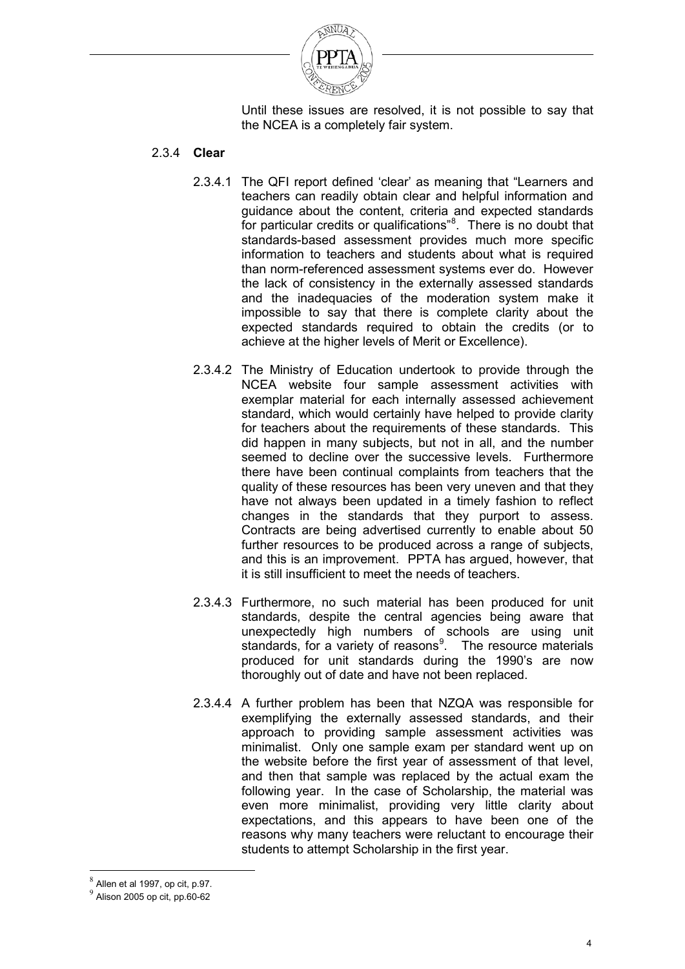

Until these issues are resolved, it is not possible to say that the NCEA is a completely fair system.

#### 2.3.4 **Clear**

- 2.3.4.1 The QFI report defined 'clear' as meaning that "Learners and teachers can readily obtain clear and helpful information and guidance about the content, criteria and expected standards for particular credits or qualifications"<sup>[8](#page-3-0)</sup>. There is no doubt that standards-based assessment provides much more specific information to teachers and students about what is required than norm-referenced assessment systems ever do. However the lack of consistency in the externally assessed standards and the inadequacies of the moderation system make it impossible to say that there is complete clarity about the expected standards required to obtain the credits (or to achieve at the higher levels of Merit or Excellence).
- 2.3.4.2 The Ministry of Education undertook to provide through the NCEA website four sample assessment activities with exemplar material for each internally assessed achievement standard, which would certainly have helped to provide clarity for teachers about the requirements of these standards. This did happen in many subjects, but not in all, and the number seemed to decline over the successive levels. Furthermore there have been continual complaints from teachers that the quality of these resources has been very uneven and that they have not always been updated in a timely fashion to reflect changes in the standards that they purport to assess. Contracts are being advertised currently to enable about 50 further resources to be produced across a range of subjects, and this is an improvement. PPTA has argued, however, that it is still insufficient to meet the needs of teachers.
- 2.3.4.3 Furthermore, no such material has been produced for unit standards, despite the central agencies being aware that unexpectedly high numbers of schools are using unit standards, for a variety of reasons<sup>[9](#page-3-1)</sup>. The resource materials produced for unit standards during the 1990's are now thoroughly out of date and have not been replaced.
- 2.3.4.4 A further problem has been that NZQA was responsible for exemplifying the externally assessed standards, and their approach to providing sample assessment activities was minimalist. Only one sample exam per standard went up on the website before the first year of assessment of that level, and then that sample was replaced by the actual exam the following year. In the case of Scholarship, the material was even more minimalist, providing very little clarity about expectations, and this appears to have been one of the reasons why many teachers were reluctant to encourage their students to attempt Scholarship in the first year.

 $\overline{a}$  $^8$  Allen et al 1997, op cit, p.97.

<span id="page-3-1"></span><span id="page-3-0"></span> $^{9}$  Alison 2005 op cit, pp.60-62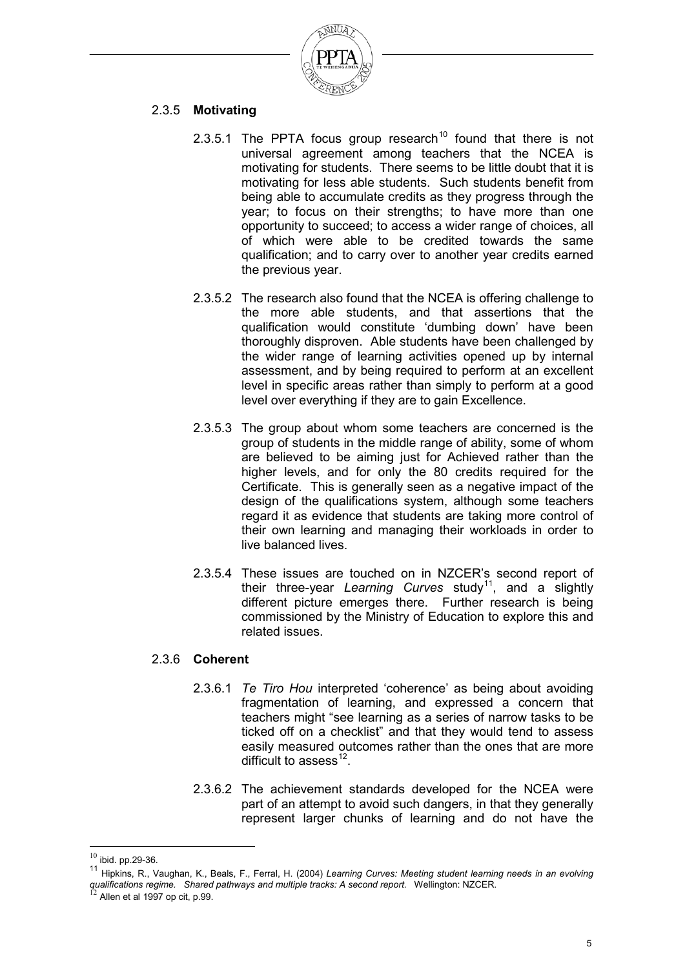

# 2.3.5 **Motivating**

- 2.3.5.1 The PPTA focus group research<sup>[10](#page-4-0)</sup> found that there is not universal agreement among teachers that the NCEA is motivating for students. There seems to be little doubt that it is motivating for less able students. Such students benefit from being able to accumulate credits as they progress through the year; to focus on their strengths; to have more than one opportunity to succeed; to access a wider range of choices, all of which were able to be credited towards the same qualification; and to carry over to another year credits earned the previous year.
- 2.3.5.2 The research also found that the NCEA is offering challenge to the more able students, and that assertions that the qualification would constitute 'dumbing down' have been thoroughly disproven. Able students have been challenged by the wider range of learning activities opened up by internal assessment, and by being required to perform at an excellent level in specific areas rather than simply to perform at a good level over everything if they are to gain Excellence.
- 2.3.5.3 The group about whom some teachers are concerned is the group of students in the middle range of ability, some of whom are believed to be aiming just for Achieved rather than the higher levels, and for only the 80 credits required for the Certificate. This is generally seen as a negative impact of the design of the qualifications system, although some teachers regard it as evidence that students are taking more control of their own learning and managing their workloads in order to live balanced lives.
- 2.3.5.4 These issues are touched on in NZCER's second report of their three-year *Learning Curves* study<sup>11</sup>, and a slightly different picture emerges there. Further research is being commissioned by the Ministry of Education to explore this and related issues.

# 2.3.6 **Coherent**

- 2.3.6.1 *Te Tiro Hou* interpreted 'coherence' as being about avoiding fragmentation of learning, and expressed a concern that teachers might "see learning as a series of narrow tasks to be ticked off on a checklist" and that they would tend to assess easily measured outcomes rather than the ones that are more difficult to assess $^{12}$ .
- 2.3.6.2 The achievement standards developed for the NCEA were part of an attempt to avoid such dangers, in that they generally represent larger chunks of learning and do not have the

 $\overline{1}$ 

 $^{10}$  ibid. pp.29-36.

<span id="page-4-1"></span><span id="page-4-0"></span><sup>11</sup> Hipkins, R., Vaughan, K., Beals, F., Ferral, H. (2004) *Learning Curves: Meeting student learning needs in an evolving qualifications regime. Shared pathways and multiple tracks: A second report.* Wellington: NZCER. <sup>12</sup> Allen et al 1997 op cit, p.99.

<span id="page-4-2"></span>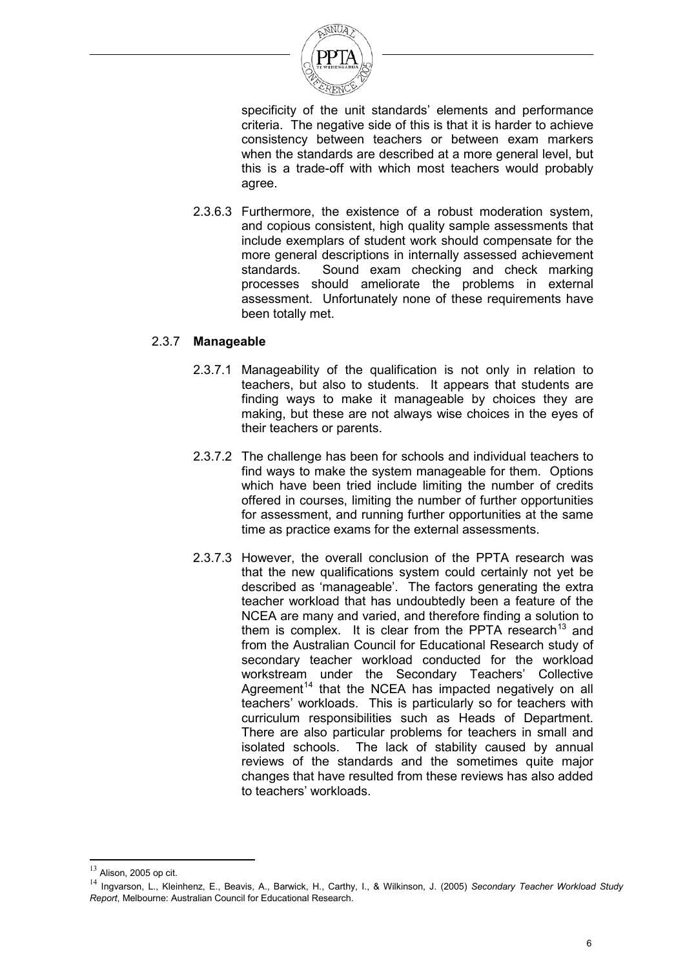

specificity of the unit standards' elements and performance criteria. The negative side of this is that it is harder to achieve consistency between teachers or between exam markers when the standards are described at a more general level, but this is a trade-off with which most teachers would probably agree.

2.3.6.3 Furthermore, the existence of a robust moderation system, and copious consistent, high quality sample assessments that include exemplars of student work should compensate for the more general descriptions in internally assessed achievement<br>standards. Sound exam checking and check marking Sound exam checking and check marking processes should ameliorate the problems in external assessment. Unfortunately none of these requirements have been totally met.

#### 2.3.7 **Manageable**

- 2.3.7.1 Manageability of the qualification is not only in relation to teachers, but also to students. It appears that students are finding ways to make it manageable by choices they are making, but these are not always wise choices in the eyes of their teachers or parents.
- 2.3.7.2 The challenge has been for schools and individual teachers to find ways to make the system manageable for them. Options which have been tried include limiting the number of credits offered in courses, limiting the number of further opportunities for assessment, and running further opportunities at the same time as practice exams for the external assessments.
- 2.3.7.3 However, the overall conclusion of the PPTA research was that the new qualifications system could certainly not yet be described as 'manageable'. The factors generating the extra teacher workload that has undoubtedly been a feature of the NCEA are many and varied, and therefore finding a solution to them is complex. It is clear from the PPTA research<sup>[13](#page-5-0)</sup> and from the Australian Council for Educational Research study of secondary teacher workload conducted for the workload workstream under the Secondary Teachers' Collective Agreement<sup>[14](#page-5-1)</sup> that the NCEA has impacted negatively on all teachers' workloads. This is particularly so for teachers with curriculum responsibilities such as Heads of Department. There are also particular problems for teachers in small and isolated schools. The lack of stability caused by annual reviews of the standards and the sometimes quite major changes that have resulted from these reviews has also added to teachers' workloads.

<sup>-</sup> $13$  Alison, 2005 op cit.

<span id="page-5-1"></span><span id="page-5-0"></span><sup>14</sup> Ingvarson, L., Kleinhenz, E., Beavis, A., Barwick, H., Carthy, I., & Wilkinson, J. (2005) *Secondary Teacher Workload Study Report*, Melbourne: Australian Council for Educational Research.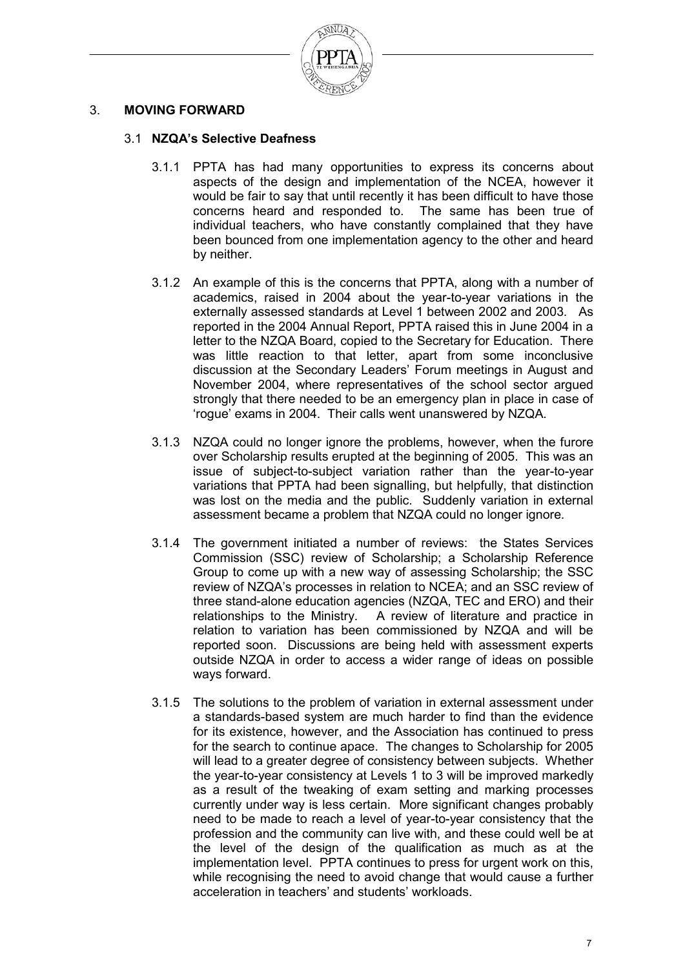

## 3. **MOVING FORWARD**

## 3.1 **NZQA's Selective Deafness**

- 3.1.1 PPTA has had many opportunities to express its concerns about aspects of the design and implementation of the NCEA, however it would be fair to say that until recently it has been difficult to have those concerns heard and responded to. The same has been true of individual teachers, who have constantly complained that they have been bounced from one implementation agency to the other and heard by neither.
- 3.1.2 An example of this is the concerns that PPTA, along with a number of academics, raised in 2004 about the year-to-year variations in the externally assessed standards at Level 1 between 2002 and 2003. As reported in the 2004 Annual Report, PPTA raised this in June 2004 in a letter to the NZQA Board, copied to the Secretary for Education. There was little reaction to that letter, apart from some inconclusive discussion at the Secondary Leaders' Forum meetings in August and November 2004, where representatives of the school sector argued strongly that there needed to be an emergency plan in place in case of 'rogue' exams in 2004. Their calls went unanswered by NZQA.
- 3.1.3 NZQA could no longer ignore the problems, however, when the furore over Scholarship results erupted at the beginning of 2005. This was an issue of subject-to-subject variation rather than the year-to-year variations that PPTA had been signalling, but helpfully, that distinction was lost on the media and the public. Suddenly variation in external assessment became a problem that NZQA could no longer ignore.
- 3.1.4 The government initiated a number of reviews: the States Services Commission (SSC) review of Scholarship; a Scholarship Reference Group to come up with a new way of assessing Scholarship; the SSC review of NZQA's processes in relation to NCEA; and an SSC review of three stand-alone education agencies (NZQA, TEC and ERO) and their relationships to the Ministry. A review of literature and practice in relation to variation has been commissioned by NZQA and will be reported soon. Discussions are being held with assessment experts outside NZQA in order to access a wider range of ideas on possible ways forward.
- 3.1.5 The solutions to the problem of variation in external assessment under a standards-based system are much harder to find than the evidence for its existence, however, and the Association has continued to press for the search to continue apace. The changes to Scholarship for 2005 will lead to a greater degree of consistency between subjects. Whether the year-to-year consistency at Levels 1 to 3 will be improved markedly as a result of the tweaking of exam setting and marking processes currently under way is less certain. More significant changes probably need to be made to reach a level of year-to-year consistency that the profession and the community can live with, and these could well be at the level of the design of the qualification as much as at the implementation level. PPTA continues to press for urgent work on this, while recognising the need to avoid change that would cause a further acceleration in teachers' and students' workloads.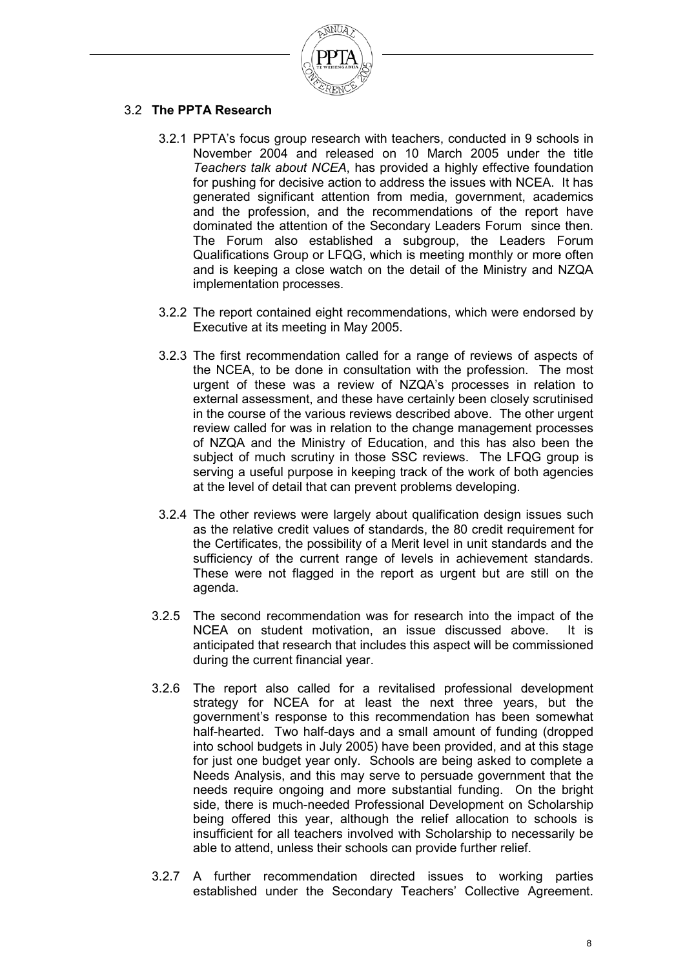

## 3.2 **The PPTA Research**

- 3.2.1 PPTA's focus group research with teachers, conducted in 9 schools in November 2004 and released on 10 March 2005 under the title *Teachers talk about NCEA*, has provided a highly effective foundation for pushing for decisive action to address the issues with NCEA. It has generated significant attention from media, government, academics and the profession, and the recommendations of the report have dominated the attention of the Secondary Leaders Forum since then. The Forum also established a subgroup, the Leaders Forum Qualifications Group or LFQG, which is meeting monthly or more often and is keeping a close watch on the detail of the Ministry and NZQA implementation processes.
- 3.2.2 The report contained eight recommendations, which were endorsed by Executive at its meeting in May 2005.
- 3.2.3 The first recommendation called for a range of reviews of aspects of the NCEA, to be done in consultation with the profession. The most urgent of these was a review of NZQA's processes in relation to external assessment, and these have certainly been closely scrutinised in the course of the various reviews described above. The other urgent review called for was in relation to the change management processes of NZQA and the Ministry of Education, and this has also been the subject of much scrutiny in those SSC reviews. The LFQG group is serving a useful purpose in keeping track of the work of both agencies at the level of detail that can prevent problems developing.
- 3.2.4 The other reviews were largely about qualification design issues such as the relative credit values of standards, the 80 credit requirement for the Certificates, the possibility of a Merit level in unit standards and the sufficiency of the current range of levels in achievement standards. These were not flagged in the report as urgent but are still on the agenda.
- 3.2.5 The second recommendation was for research into the impact of the NCEA on student motivation, an issue discussed above. It is anticipated that research that includes this aspect will be commissioned during the current financial year.
- 3.2.6 The report also called for a revitalised professional development strategy for NCEA for at least the next three years, but the government's response to this recommendation has been somewhat half-hearted. Two half-days and a small amount of funding (dropped into school budgets in July 2005) have been provided, and at this stage for just one budget year only. Schools are being asked to complete a Needs Analysis, and this may serve to persuade government that the needs require ongoing and more substantial funding. On the bright side, there is much-needed Professional Development on Scholarship being offered this year, although the relief allocation to schools is insufficient for all teachers involved with Scholarship to necessarily be able to attend, unless their schools can provide further relief.
- 3.2.7 A further recommendation directed issues to working parties established under the Secondary Teachers' Collective Agreement.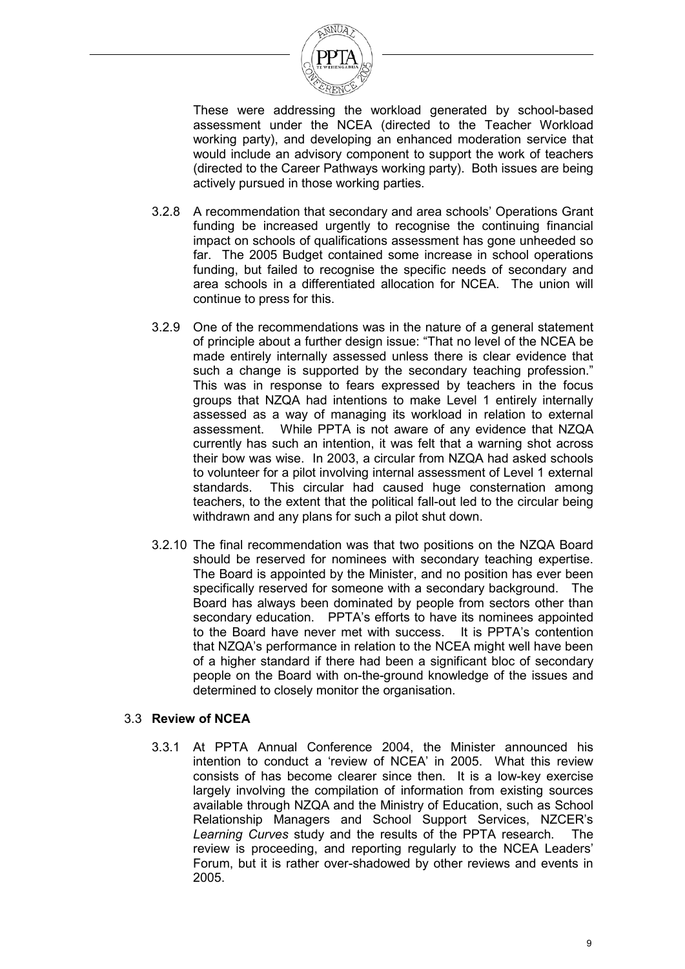

These were addressing the workload generated by school-based assessment under the NCEA (directed to the Teacher Workload working party), and developing an enhanced moderation service that would include an advisory component to support the work of teachers (directed to the Career Pathways working party). Both issues are being actively pursued in those working parties.

- 3.2.8 A recommendation that secondary and area schools' Operations Grant funding be increased urgently to recognise the continuing financial impact on schools of qualifications assessment has gone unheeded so far. The 2005 Budget contained some increase in school operations funding, but failed to recognise the specific needs of secondary and area schools in a differentiated allocation for NCEA. The union will continue to press for this.
- 3.2.9 One of the recommendations was in the nature of a general statement of principle about a further design issue: "That no level of the NCEA be made entirely internally assessed unless there is clear evidence that such a change is supported by the secondary teaching profession." This was in response to fears expressed by teachers in the focus groups that NZQA had intentions to make Level 1 entirely internally assessed as a way of managing its workload in relation to external assessment. While PPTA is not aware of any evidence that NZQA currently has such an intention, it was felt that a warning shot across their bow was wise. In 2003, a circular from NZQA had asked schools to volunteer for a pilot involving internal assessment of Level 1 external standards. This circular had caused huge consternation among teachers, to the extent that the political fall-out led to the circular being withdrawn and any plans for such a pilot shut down.
- 3.2.10 The final recommendation was that two positions on the NZQA Board should be reserved for nominees with secondary teaching expertise. The Board is appointed by the Minister, and no position has ever been specifically reserved for someone with a secondary background. The Board has always been dominated by people from sectors other than secondary education. PPTA's efforts to have its nominees appointed to the Board have never met with success. It is PPTA's contention that NZQA's performance in relation to the NCEA might well have been of a higher standard if there had been a significant bloc of secondary people on the Board with on-the-ground knowledge of the issues and determined to closely monitor the organisation.

#### 3.3 **Review of NCEA**

3.3.1 At PPTA Annual Conference 2004, the Minister announced his intention to conduct a 'review of NCEA' in 2005. What this review consists of has become clearer since then. It is a low-key exercise largely involving the compilation of information from existing sources available through NZQA and the Ministry of Education, such as School Relationship Managers and School Support Services, NZCER's *Learning Curves* study and the results of the PPTA research. The review is proceeding, and reporting regularly to the NCEA Leaders' Forum, but it is rather over-shadowed by other reviews and events in 2005.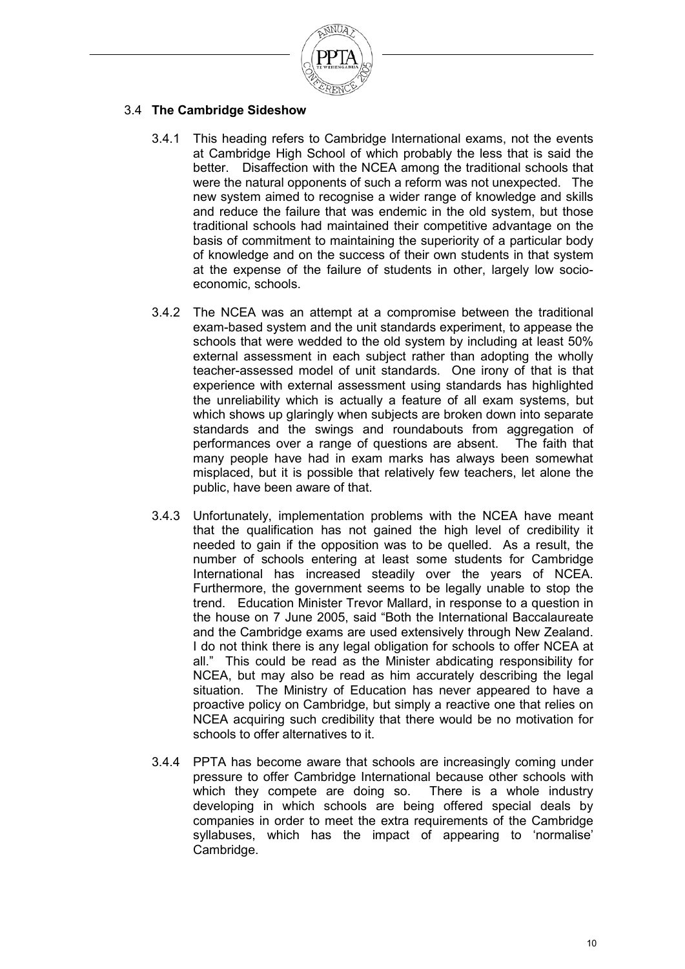

## 3.4 **The Cambridge Sideshow**

- 3.4.1 This heading refers to Cambridge International exams, not the events at Cambridge High School of which probably the less that is said the better. Disaffection with the NCEA among the traditional schools that were the natural opponents of such a reform was not unexpected. The new system aimed to recognise a wider range of knowledge and skills and reduce the failure that was endemic in the old system, but those traditional schools had maintained their competitive advantage on the basis of commitment to maintaining the superiority of a particular body of knowledge and on the success of their own students in that system at the expense of the failure of students in other, largely low socioeconomic, schools.
- 3.4.2 The NCEA was an attempt at a compromise between the traditional exam-based system and the unit standards experiment, to appease the schools that were wedded to the old system by including at least 50% external assessment in each subject rather than adopting the wholly teacher-assessed model of unit standards. One irony of that is that experience with external assessment using standards has highlighted the unreliability which is actually a feature of all exam systems, but which shows up glaringly when subjects are broken down into separate standards and the swings and roundabouts from aggregation of performances over a range of questions are absent. The faith that many people have had in exam marks has always been somewhat misplaced, but it is possible that relatively few teachers, let alone the public, have been aware of that.
- 3.4.3 Unfortunately, implementation problems with the NCEA have meant that the qualification has not gained the high level of credibility it needed to gain if the opposition was to be quelled. As a result, the number of schools entering at least some students for Cambridge International has increased steadily over the years of NCEA. Furthermore, the government seems to be legally unable to stop the trend. Education Minister Trevor Mallard, in response to a question in the house on 7 June 2005, said "Both the International Baccalaureate and the Cambridge exams are used extensively through New Zealand. I do not think there is any legal obligation for schools to offer NCEA at all." This could be read as the Minister abdicating responsibility for NCEA, but may also be read as him accurately describing the legal situation. The Ministry of Education has never appeared to have a proactive policy on Cambridge, but simply a reactive one that relies on NCEA acquiring such credibility that there would be no motivation for schools to offer alternatives to it.
- 3.4.4 PPTA has become aware that schools are increasingly coming under pressure to offer Cambridge International because other schools with which they compete are doing so. There is a whole industry developing in which schools are being offered special deals by companies in order to meet the extra requirements of the Cambridge syllabuses, which has the impact of appearing to 'normalise' Cambridge.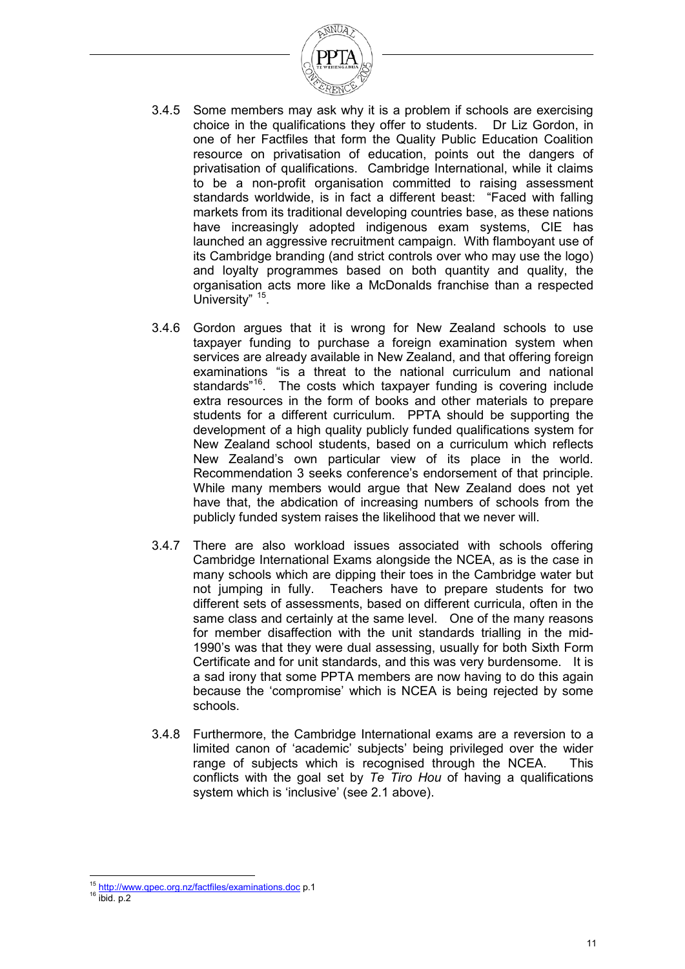

- 3.4.5 Some members may ask why it is a problem if schools are exercising choice in the qualifications they offer to students. Dr Liz Gordon, in one of her Factfiles that form the Quality Public Education Coalition resource on privatisation of education, points out the dangers of privatisation of qualifications. Cambridge International, while it claims to be a non-profit organisation committed to raising assessment standards worldwide, is in fact a different beast: "Faced with falling markets from its traditional developing countries base, as these nations have increasingly adopted indigenous exam systems, CIE has launched an aggressive recruitment campaign. With flamboyant use of its Cambridge branding (and strict controls over who may use the logo) and loyalty programmes based on both quantity and quality, the organisation acts more like a McDonalds franchise than a respected University"<sup>[15](#page-10-0)</sup>.
- 3.4.6 Gordon argues that it is wrong for New Zealand schools to use taxpayer funding to purchase a foreign examination system when services are already available in New Zealand, and that offering foreign examinations "is a threat to the national curriculum and national standards"<sup>[16](#page-10-1)</sup>. The costs which taxpayer funding is covering include extra resources in the form of books and other materials to prepare students for a different curriculum. PPTA should be supporting the development of a high quality publicly funded qualifications system for New Zealand school students, based on a curriculum which reflects New Zealand's own particular view of its place in the world. Recommendation 3 seeks conference's endorsement of that principle. While many members would argue that New Zealand does not yet have that, the abdication of increasing numbers of schools from the publicly funded system raises the likelihood that we never will.
- 3.4.7 There are also workload issues associated with schools offering Cambridge International Exams alongside the NCEA, as is the case in many schools which are dipping their toes in the Cambridge water but not jumping in fully. Teachers have to prepare students for two different sets of assessments, based on different curricula, often in the same class and certainly at the same level. One of the many reasons for member disaffection with the unit standards trialling in the mid-1990's was that they were dual assessing, usually for both Sixth Form Certificate and for unit standards, and this was very burdensome. It is a sad irony that some PPTA members are now having to do this again because the 'compromise' which is NCEA is being rejected by some schools.
- 3.4.8 Furthermore, the Cambridge International exams are a reversion to a limited canon of 'academic' subjects' being privileged over the wider range of subjects which is recognised through the NCEA. This conflicts with the goal set by *Te Tiro Hou* of having a qualifications system which is 'inclusive' (see 2.1 above).

 $\frac{1}{2}$ <sup>15</sup> <http://www.qpec.org.nz/factfiles/examinations.doc> p.1<br><sup>16</sup> ibid. p.2

<span id="page-10-1"></span><span id="page-10-0"></span>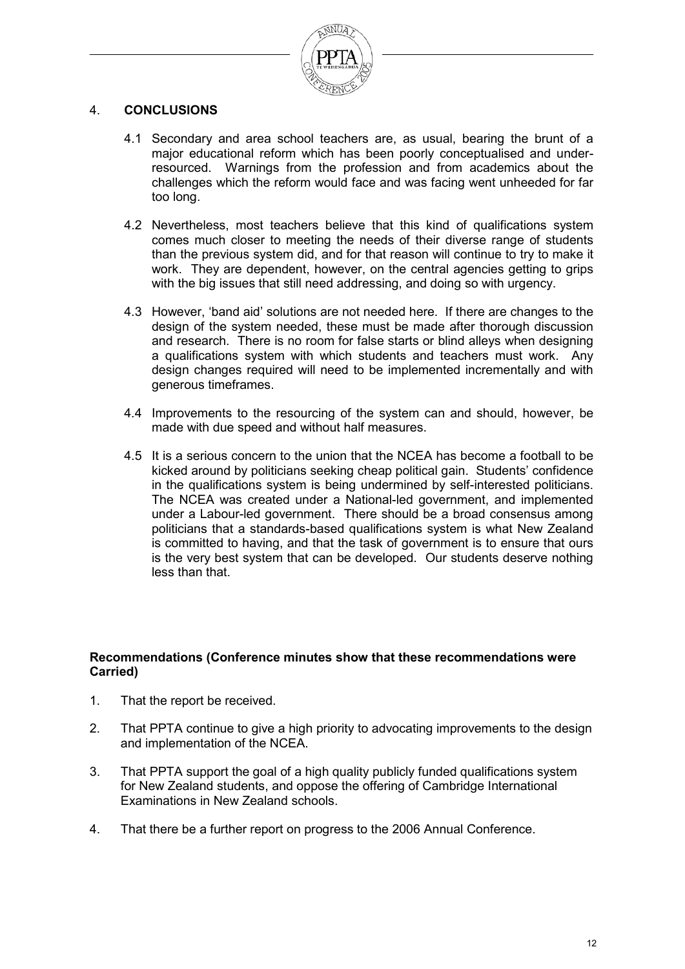

## 4. **CONCLUSIONS**

- 4.1 Secondary and area school teachers are, as usual, bearing the brunt of a major educational reform which has been poorly conceptualised and underresourced. Warnings from the profession and from academics about the challenges which the reform would face and was facing went unheeded for far too long.
- 4.2 Nevertheless, most teachers believe that this kind of qualifications system comes much closer to meeting the needs of their diverse range of students than the previous system did, and for that reason will continue to try to make it work. They are dependent, however, on the central agencies getting to grips with the big issues that still need addressing, and doing so with urgency.
- 4.3 However, 'band aid' solutions are not needed here. If there are changes to the design of the system needed, these must be made after thorough discussion and research. There is no room for false starts or blind alleys when designing a qualifications system with which students and teachers must work. Any design changes required will need to be implemented incrementally and with generous timeframes.
- 4.4 Improvements to the resourcing of the system can and should, however, be made with due speed and without half measures.
- 4.5 It is a serious concern to the union that the NCEA has become a football to be kicked around by politicians seeking cheap political gain. Students' confidence in the qualifications system is being undermined by self-interested politicians. The NCEA was created under a National-led government, and implemented under a Labour-led government. There should be a broad consensus among politicians that a standards-based qualifications system is what New Zealand is committed to having, and that the task of government is to ensure that ours is the very best system that can be developed. Our students deserve nothing less than that.

#### **Recommendations (Conference minutes show that these recommendations were Carried)**

- 1. That the report be received.
- 2. That PPTA continue to give a high priority to advocating improvements to the design and implementation of the NCEA.
- 3. That PPTA support the goal of a high quality publicly funded qualifications system for New Zealand students, and oppose the offering of Cambridge International Examinations in New Zealand schools.
- 4. That there be a further report on progress to the 2006 Annual Conference.